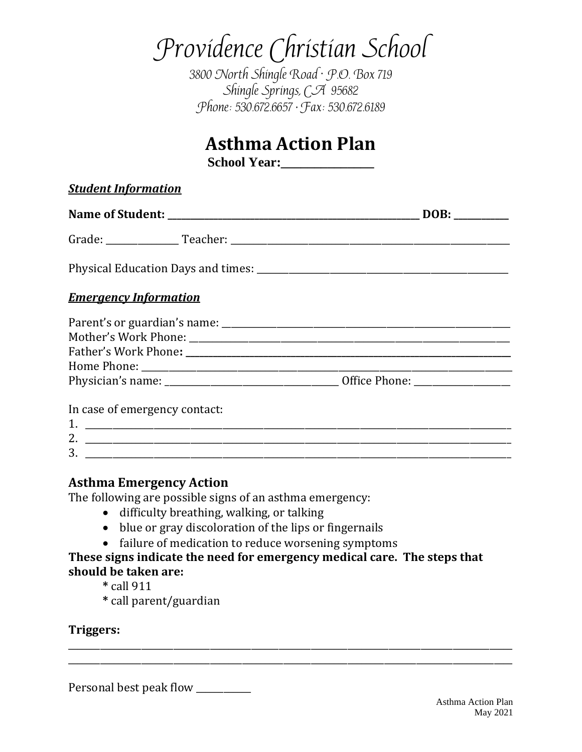# Providence Christian School

3800 North Shingle Road · P.O. Box 719 Shingle Springs, CA 95682 Phone: 530.672.6657 • Fax: 530.672.6189

# **Asthma Action Plan**

School Year:

| <b>Student Information</b>    |      |
|-------------------------------|------|
|                               | DOB: |
|                               |      |
|                               |      |
| <b>Emergency Information</b>  |      |
|                               |      |
|                               |      |
|                               |      |
|                               |      |
|                               |      |
| In case of emergency contact: |      |
| 3.                            |      |
|                               |      |

### **Asthma Emergency Action**

The following are possible signs of an asthma emergency:

- difficulty breathing, walking, or talking
- blue or gray discoloration of the lips or fingernails
- failure of medication to reduce worsening symptoms

### **These signs indicate the need for emergency medical care. The steps that should be taken are:**

\_\_\_\_\_\_\_\_\_\_\_\_\_\_\_\_\_\_\_\_\_\_\_\_\_\_\_\_\_\_\_\_\_\_\_\_\_\_\_\_\_\_\_\_\_\_\_\_\_\_\_\_\_\_\_\_\_\_\_\_\_\_\_\_\_\_\_\_\_\_\_\_\_\_\_\_\_\_\_\_\_\_\_\_\_\_\_\_\_\_\_\_\_\_\_\_\_ \_\_\_\_\_\_\_\_\_\_\_\_\_\_\_\_\_\_\_\_\_\_\_\_\_\_\_\_\_\_\_\_\_\_\_\_\_\_\_\_\_\_\_\_\_\_\_\_\_\_\_\_\_\_\_\_\_\_\_\_\_\_\_\_\_\_\_\_\_\_\_\_\_\_\_\_\_\_\_\_\_\_\_\_\_\_\_\_\_\_\_\_\_\_\_\_\_

- **\*** call 911
- **\*** call parent/guardian

### **Triggers:**

Personal best peak flow \_\_\_\_\_\_\_\_\_\_